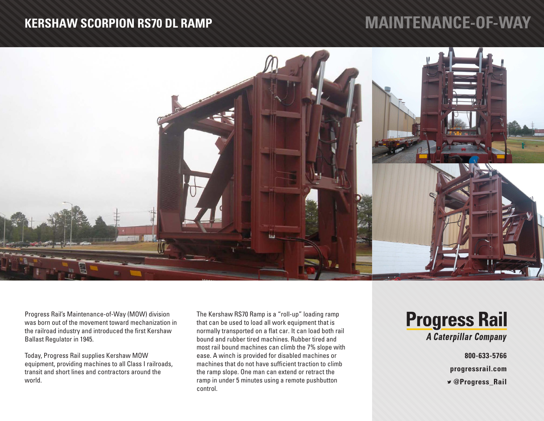#### **KERSHAW SCORPION RS70 DL RAMP**

# **MAINTENANCE-OF-WAY**



Progress Rail's Maintenance-of-Way (MOW) division was born out of the movement toward mechanization in the railroad industry and introduced the first Kershaw Ballast Regulator in 1945.

Today, Progress Rail supplies Kershaw MOW equipment, providing machines to all Class I railroads, transit and short lines and contractors around the world.

The Kershaw RS70 Ramp is a "roll-up" loading ramp that can be used to load all work equipment that is normally transported on a flat car. It can load both rail bound and rubber tired machines. Rubber tired and most rail bound machines can climb the 7% slope with ease. A winch is provided for disabled machines or machines that do not have sufficient traction to climb the ramp slope. One man can extend or retract the ramp in under 5 minutes using a remote pushbutton control.

## **Progress Rail A Caterpillar Company**

**800-633-5766 progressrail.com**

 **@Progress\_Rail**